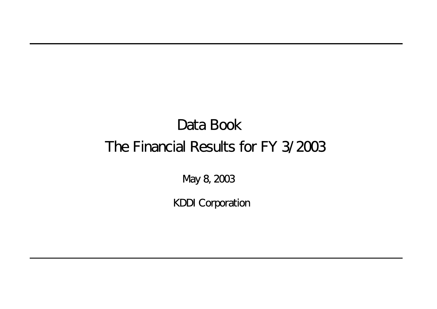# Data Book The Financial Results for FY 3/2003

May 8, 2003

KDDI Corporation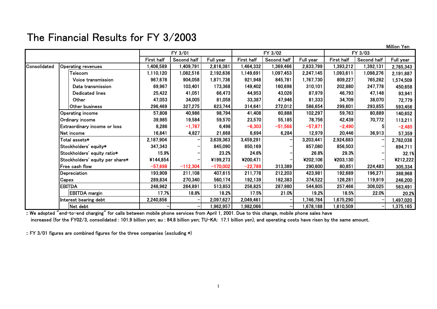#### The Financial Results for FY 3/2003

|              |                                 |            |             |            |            |                              |           |            |             | Million Yen |
|--------------|---------------------------------|------------|-------------|------------|------------|------------------------------|-----------|------------|-------------|-------------|
|              |                                 |            | FY 3/01     |            |            | FY 3/02                      |           |            | FY 3/03     |             |
|              |                                 | First half | Second half | Full year  | First half | Second half                  | Full year | First half | Second half | Full year   |
| Consolidated | Operating revenues              | 1,406,589  | 1,409,791   | 2,816,381  | 1,464,332  | 1,369,466                    | 2,833,799 | 1,393,212  | 1,392,131   | 2,785,343   |
|              | Telecom                         | 1,110,120  | 1,082,516   | 2,192,636  | 1,149,691  | 1,097,453                    | 2,247,145 | 1,093,611  | 1,098,276   | 2,191,887   |
|              | Voice transmission              | 967,678    | 904,058     | 1,871,736  | 921,948    | 845,781                      | 1,767,730 | 809,227    | 765,282     | 1,574,509   |
|              | Data transmission               | 69,967     | 103,401     | 173,368    | 149,402    | 160,698                      | 310,101   | 202,880    | 247,778     | 450,658     |
|              | <b>Dedicated lines</b>          | 25,422     | 41,051      | 66,473     | 44,953     | 43,026                       | 87,979    | 46,793     | 47,148      | 93,941      |
|              | Other                           | 47,053     | 34,005      | 81,058     | 33,387     | 47,946                       | 81,333    | 34,709     | 38,070      | 72,779      |
|              | Other business                  | 296,469    | 327,275     | 623,744    | 314,641    | 272,012                      | 586,654   | 299,601    | 293,855     | 593,456     |
|              | <b>Operating income</b>         | 57,808     | 40,986      | 98,794     | 41,408     | 60,888                       | 102,297   | 59,763     | 80,889      | 140,652     |
|              | Ordinary income                 | 39,985     | 19,584      | 59,570     | 23,570     | 55,185                       | 78,756    | 42,439     | 70,772      | 113,211     |
|              | Extraordinary income or loss    | 8,286      | $-1,787$    | 6,498      | $-6,303$   | $-51,568$                    | $-57,871$ | $-2,490$   |             | $-2,485$    |
|              | Net income                      | 16,841     | 4,827       | 21,668     | 6,694      | 6,284                        | 12,979    | 20,446     | 36,913      | 57,359      |
|              | Total assets*                   | 2,187,904  |             | 3,639,363  | 3,459,291  |                              | 3,203,441 | 2,924,883  |             | 2,782,038   |
|              | Stockholders' equity*           | 347,343    |             | 845,090    | 850,169    |                              | 857,080   | 856,503    |             | 894,711     |
|              | Stockholders' equity ratio*     | 15.9%      |             | 23.2%      | 24.6%      |                              | 26.8%     | 29.3%      |             | 32.1%       |
|              | Stockholders' equity per share* | ¥144,854   |             | ¥199,273   | ¥200,471   |                              | ¥202,106  | ¥203,130   |             | ¥212,222    |
|              | Free cash flow                  | $-57,698$  | $-112,304$  | $-170,002$ | $-22,789$  | 313,389                      | 290,600   | 80,851     | 224,483     | 305,334     |
|              | Depreciation                    | 193,909    | 211,108     | 407,615    | 211,778    | 212,203                      | 423,981   | 192,689    | 196,271     | 388,968     |
|              | Capex                           | 289,834    | 270,340     | 560,174    | 192,139    | 182,383                      | 374,522   | 126,281    | 119,919     | 246,200     |
|              | <b>EBITDA</b>                   | 248,962    | 264,891     | 513,853    | 256,825    | 287,980                      | 544,805   | 257,466    | 306,025     | 563,491     |
|              | <b>EBITDA</b> margin            | 17.7%      | 18.8%       | 18.2%      | 17.5%      | 21.0%                        | 19.2%     | 18.5%      | 22.0%       | 20.2%       |
|              | Interest bearing debt           | 2,240,856  | -           | 2,097,627  | 2,049,461  |                              | 1,746,784 | 1,675,290  |             | 1,497,020   |
|              | Net debt                        |            | -           | 1,962,957  | 1,982,066  | $\qquad \qquad \blacksquare$ | 1,678,188 | 1,610,509  |             | 1,375,165   |

:: We adopted "end-to-end charging" for calls between mobile phone services from April 1, 2001. Due to this change, mobile phone sales have increased (for the FY02/3, consolidated : 101.9 billion yen; au : 84.8 billion yen; TU-KA: 17.1 billion yen), and operating costs have risen by the same amount.

:: FY 3/01 figures are combined figures for the three companies (excluding \*)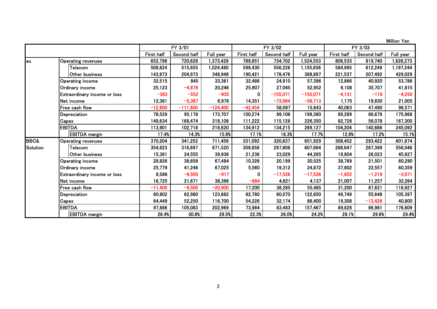Million Yen

|                 |                                     |            | FY 3/01     |            |              | FY 3/02     |            |            | FY 3/03     |           |
|-----------------|-------------------------------------|------------|-------------|------------|--------------|-------------|------------|------------|-------------|-----------|
|                 |                                     | First half | Second half | Full year  | First half   | Second half | Full year  | First half | Second half | Full year |
| lau             | <b>Operating revenues</b>           | 652,798    | 720,628     | 1,373,428  | 789,851      | 734,702     | 1,524,553  | 806,533    | 819,740     | 1,626,273 |
|                 | Telecom                             | 508,824    | 515,655     | 1,024,480  | 599,430      | 556,226     | 1,155,656  | 584,995    | 612,249     | 1,197,244 |
|                 | Other business                      | 143,973    | 204,973     | 348,948    | 190,421      | 178,476     | 368,897    | 221,537    | 207,492     | 429,029   |
|                 | <b>Operating income</b>             | 32,515     | 845         | 33,361     | 32,486       | 24,910      | 57,396     | 12,866     | 40,920      | 53,786    |
|                 | Ordinary income                     | 25,123     | $-4,878$    | 20,246     | 25,907       | 27,045      | 52,952     | 6,108      | 35,707      | 41,815    |
|                 | <b>Extraordinary income or loss</b> | $-383$     | $-552$      | $-935$     | $\mathbf{0}$ | $-155,071$  | $-155,071$ | $-4,131$   | $-119$      | $-4,250$  |
|                 | Net income                          | 12,361     | $-5,387$    | 6,976      | 14,351       | $-73,064$   | $-58,713$  | 1,175      | 19,830      | 21,005    |
|                 | Free cash flow                      | $-12,600$  | $-111,800$  | $-124,400$ | $-42,454$    | 58,097      | 15,643     | 40,063     | 47,490      | 96,571    |
|                 | Depreciation                        | 78,529     | 95,178      | 173,707    | 100,274      | 99,106      | 199,380    | 89,289     | 86,679      | 175,968   |
|                 | Capex                               | 149,634    | 168,474     | 318,108    | 111,222      | 115,128     | 226,350    | 82,728     | 56,078      | 167,300   |
|                 | <b>EBITDA</b>                       | 113,901    | 102,718     | 216,620    | 134,912      | 134,215     | 269,127    | 104,204    | 140,888     | 245,092   |
|                 | <b>EBITDA</b> margin                | 17.4%      | 14.3%       | 15.8%      | 17.1%        | 18.3%       | 17.7%      | 12.9%      | 17.2%       | 15.1%     |
| <b>BBC&amp;</b> | Operating revenues                  | 370,204    | 341,252     | 711,456    | 331,092      | 320,837     | 651,929    | 308,452    | 293,422     | 601,874   |
| Solution        | Telecom                             | 354,823    | 316,697     | 671,520    | 309,856      | 297,808     | 607,664    | 288,647    | 267,399     | 556,046   |
|                 | Other business                      | 15,381     | 24,555      | 39,936     | 21,236       | 23,029      | 44,265     | 19,804     | 26,023      | 45,827    |
|                 | <b>Operating income</b>             | 28,826     | 38,658      | 67,484     | 10,326       | 20,199      | 30,525     | 38,789     | 21,501      | 60,290    |
|                 | Ordinary income                     | 25,779     | 41,246      | 67,025     | 5,560        | 19,312      | 24,872     | 37,802     | 22,557      | 60,359    |
|                 | <b>Extraordinary income or loss</b> | 8,588      | $-9,505$    | $-917$     | 0            | $-17,526$   | $-17,526$  | $-1,852$   | $-1,219$    | $-3,071$  |
|                 | Net income                          | 16,725     | 21,671      | 38,396     | -684         | 4,821       | 4,137      | 21,007     | 11,257      | 32,264    |
|                 | Free cash flow                      | $-11,400$  | $-9,500$    | $-20,900$  | 17,200       | 38,285      | 55,485     | 31,200     | 87,621      | 116,927   |
|                 | Depreciation                        | 60,902     | 62,980      | 123,882    | 62,780       | 60,070      | 122,850    | 49,749     | 55,648      | 105,397   |
|                 | Capex                               | 64,449     | 52,250      | 116,700    | 54,226       | 32,174      | 86,400     | 19,308     | $-13,426$   | 40,800    |
|                 | <b>IEBITDA</b>                      | 97,886     | 105,083     | 202,969    | 73,984       | 83,483      | 157,467    | 89,828     | 86,981      | 176,809   |
|                 | <b>EBITDA</b> margin                | 26.4%      | 30.8%       | 28.5%      | 22.3%        | 26.0%       | 24.2%      | 29.1%      | 29.6%       | 29.4%     |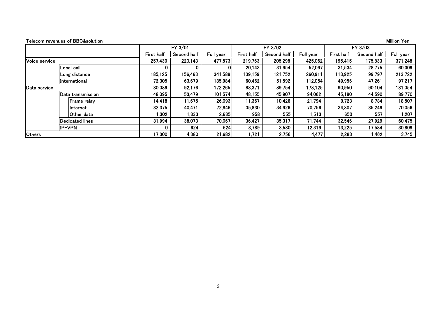|               | Telecom revenues of BBC&solution |            |             |           |            |             |           |            |             | Million Yen |
|---------------|----------------------------------|------------|-------------|-----------|------------|-------------|-----------|------------|-------------|-------------|
|               |                                  |            | FY 3/01     |           |            | FY 3/02     |           |            | FY 3/03     |             |
|               |                                  | First half | Second half | Full year | First half | Second half | Full year | First half | Second half | Full year   |
| Voice service |                                  | 257,430    | 220,143     | 477,573   | 219,763    | 205,298     | 425,062   | 195,415    | 175,833     | 371,248     |
|               | Local call                       | 0          | 0           |           | 20,143     | 31,954      | 52,097    | 31,534     | 28,775      | 60,309      |
|               | Long distance                    | 185,125    | 156,463     | 341,589   | 139,159    | 121,752     | 260,911   | 113,925    | 99,797      | 213,722     |
|               | International                    | 72,305     | 63,679      | 135,984   | 60,462     | 51,592      | 112,054   | 49,956     | 47,261      | 97,217      |
| Data service  |                                  | 80,089     | 92,176      | 172,265   | 88,371     | 89,754      | 178,125   | 90,950     | 90,104      | 181,054     |
|               | Data transmission                | 48,095     | 53,479      | 101,574   | 48,155     | 45,907      | 94,062    | 45,180     | 44,590      | 89,770      |
|               | Frame relay                      | 14,418     | 11,675      | 26,093    | 11,367     | 10,426      | 21,794    | 9,723      | 8,784       | 18,507      |
|               | linternet                        | 32,375     | 40,471      | 72,846    | 35,830     | 34,926      | 70,756    | 34,807     | 35,249      | 70,056      |
|               | Other data                       | ,302       | 1,333       | 2,635     | 958        | 555         | 1,513     | 650        | 557         | 1,207       |
|               | <b>Dedicated lines</b>           | 31,994     | 38,073      | 70,067    | 36,427     | 35,317      | 71,744    | 32,546     | 27,929      | 60,475      |
|               | IP-VPN                           |            | 624         | 624       | 3,789      | 8,530       | 12,319    | 13,225     | 17,584      | 30,809      |
| <b>Others</b> |                                  | 17,300     | 4,380       | 21,682    | 1,721      | 2,756       | 4,477     | 2,283      | l,462       | 3,745       |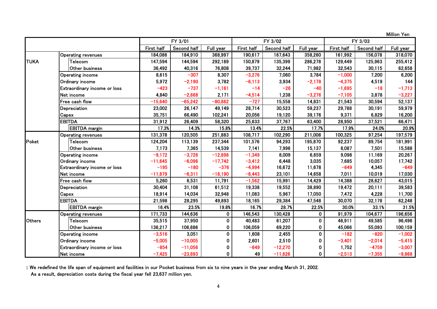Million Yen

|               |                              |            | FY 3/01     |              |            | FY 3/02     |             |            | FY 3/03     |           |
|---------------|------------------------------|------------|-------------|--------------|------------|-------------|-------------|------------|-------------|-----------|
|               |                              | First half | Second half | Full year    | First half | Second half | Full year   | First half | Second half | Full year |
|               | <b>Operating revenues</b>    | 184,086    | 184,910     | 368,997      | 190,617    | 167,643     | 358,260     | 161,992    | 156,078     | 318,070   |
| <b>TUKA</b>   | Telecom                      | 147,594    | 144,594     | 292,189      | 150,879    | 135,399     | 286,278     | 129,449    | 125,963     | 255,412   |
|               | Other business               | 36,492     | 40,316      | 76,808       | 39,737     | 32,244      | 71,982      | 32,543     | 30,115      | 62,658    |
|               | <b>Operating income</b>      | 8,615      | $-307$      | 8,307        | $-3,276$   | 7,060       | 3,784       | $-1,000$   | 7,200       | 6,200     |
|               | Ordinary income              | 5,972      | $-2,190$    | 3,782        | $-6,113$   | 3,934       | $-2,178$    | $-4,375$   | 4,519       | 144       |
|               | Extraordinary income or loss | $-423$     | $-737$      | $-1,161$     | $-14$      | $-26$       | $-40$       | $-1,695$   | $-18$       | $-1,713$  |
|               | Net income                   | 4,840      | $-2,668$    | 2,171        | $-4,514$   | 1,238       | $-3,276$    | $-7,105$   | 3,878       | $-3,227$  |
|               | Free cash flow               | $-15,640$  | $-65,242$   | $-80,882$    | $-727$     | 15,558      | 14,831      | 21,543     | 30,594      | 52,137    |
|               | Depreciation                 | 23,002     | 26,147      | 49,149       | 28,714     | 30,523      | 59,237      | 29,788     | 30,191      | 59,979    |
|               | Capex                        | 35,751     | 66,490      | 102,241      | 20,056     | 19,120      | 39,176      | 9,371      | 6,829       | 16,200    |
|               | <b>EBITDA</b>                | 31,912     | 26,409      | 58,320       | 25,633     | 37,767      | 63,400      | 28,950     | 37,521      | 66,471    |
|               | <b>EBITDA</b> margin         | 17.3%      | 14.3%       | 15.8%        | 13.4%      | 22.5%       | 17.7%       | 17.9%      | 24.0%       | 20.9%     |
|               | <b>Operating revenues</b>    | 131,378    | 120,505     | 251,883      | 108,717    | 102,290     | 211,008     | 100,325    | 97,254      | 197,579   |
| Poket         | Telecom                      | 124,204    | 113,139     | 237,344      | 101,576    | 94,293      | 195,870     | 92,237     | 89,754      | 181,991   |
|               | Other business               | 7,173      | 7,365       | 14,539       | 7,141      | 7,996       | 15,137      | 8,087      | 7,501       | 15,588    |
|               | <b>Operating income</b>      | $-9,172$   | $-3,726$    | $-12,898$    | $-1,349$   | 8,009       | 6,659       | 9,098      | 11,169      | 20,267    |
|               | Ordinary income              | $-11,645$  | $-6,096$    | $-17,742$    | $-3,412$   | 6,448       | 3,035       | 7,685      | 10,057      | 17,742    |
|               | Extraordinary income or loss | $-195$     | $-180$      | $-376$       | $-4,994$   | 16,672      | 11,678      | $-649$     | 4,345       | $-649$    |
|               | Net income                   | $-11,879$  | $-6,311$    | $-18,190$    | $-8,443$   | 23,101      | 14,658      | 7,011      | 10,019      | 17,030    |
|               | Free cash fiow               | 5,260      | 6,531       | 11,791       | $-1,562$   | 15,991      | 14,429      | 14,388     | 28,627      | 43,015    |
|               | Depreciation                 | 30,404     | 31,108      | 61,512       | 19,338     | 19,552      | 38,890      | 19,472     | 20,111      | 39,583    |
|               | Capex                        | 18,914     | 14,034      | 32,948       | 11,083     | 5,967       | 17,050      | 7,472      | 4,228       | 11,700    |
|               | <b>EBITDA</b>                | 21,598     | 28,295      | 49,893       | 18,165     | 29,384      | 47,548      | 30,070     | 32,178      | 62,248    |
|               | <b>EBITDA</b> margin         | 16.4%      | 23.5%       | 19.8%        | 16.7%      | 28.7%       | 22.5%       | 30.0%      | 33.1%       | 31.5%     |
|               | <b>Operating revenues</b>    | 171,733    | 144,636     | $\mathbf{0}$ | 146,543    | 130,428     | 0           | 91,979     | 104,677     | 196,656   |
| <b>Others</b> | Telecom                      | 35,515     | 37,950      | $\mathbf 0$  | 40,483     | 61,207      | 0           | 46,911     | 49,585      | 96,496    |
|               | Other business               | 136,217    | 106,686     | $\mathbf{0}$ | 106,059    | 69,220      | 0           | 45,066     | 55,093      | 100,159   |
|               | <b>Operating income</b>      | $-3,516$   | 3,051       | 0            | 1,608      | 2,455       | $\mathbf 0$ | $-182$     | $-820$      | $-1,002$  |
|               | Ordinary income              | $-5,005$   | $-10,005$   | 0            | 2,601      | 2,510       | 0           | $-3,401$   | $-2,014$    | $-5,415$  |
|               | Extraordinary income or loss | $-854$     | $-11,056$   | 0            | $-649$     | $-12,270$   | 0           | 1,752      | $-4759$     | $-3,007$  |
|               | Net income                   | $-7,425$   | $-23,893$   | $\mathbf{0}$ | 49         | $-11,626$   | 0           | $-2,513$   | $-7,355$    | $-9,868$  |

:: We redefined the life span of equipment and facilities in our Pocket business from six to nine years in the year ending March 31, 2002.

As a result, depreciation costs during the fiscal year fell 23,637 million yen.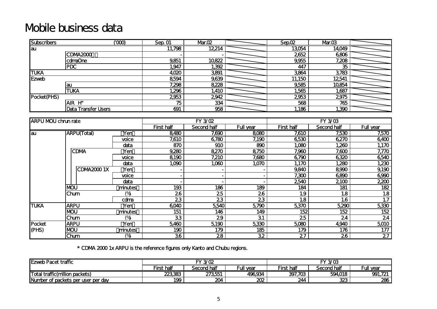### Mobile business data

| <b>Subscribers</b> |                            | ന്ത്ര | Sep. 01 | Mr.02 | SepO2  | Mr.03  |  |
|--------------------|----------------------------|-------|---------|-------|--------|--------|--|
| lau                |                            |       | 11,798  | 12214 | 13054  | 14,049 |  |
|                    | CDMA2000                   |       |         |       | 2652   | 6806   |  |
|                    | comaOne                    |       | 9851    | 10822 | 9,955  | 7,208  |  |
|                    | <b>PDC</b>                 |       | ,947    | 1,392 | 447    | 35     |  |
| <b>TUKA</b>        |                            |       | 4,020   | 3891  | 3864   | 3783   |  |
| Ezweb              |                            |       | 8594    | 9,639 | 11,150 | 12541  |  |
|                    | lau                        |       | 7,298   | 8228  | 9,585  | 10854  |  |
|                    | <b>TUKA</b>                |       | .296    | 1,410 | 1,565  | 1,687  |  |
| Pocket(PHS)        |                            |       | 2953    | 2942  | 2953   | 2975   |  |
|                    | <b>AIR</b><br>H"           |       | 75      | 334   | 568    | 765    |  |
|                    | <b>Data Transfer Users</b> |       | 691     | 958   | 1,186  | 1,390  |  |

| <b>ARPU MOU chrun rate</b> |                    |         |            | FY 3/02     |                |                   | <b>FY 3/03</b> |                 |
|----------------------------|--------------------|---------|------------|-------------|----------------|-------------------|----------------|-----------------|
|                            |                    |         | First half | Second half | Full year      | <b>First half</b> | Second half    | Full year       |
| lau                        | <b>ARPU(Total)</b> | Yen     | 8480       | 7,690       | 8080           | 7,610             | 7,530          | 7,570           |
|                            |                    | voice   | 7,610      | 6780        | 7,190          | 6530              | 6,270          | 6400            |
|                            |                    | data    | 870        | 910         | 890            | 1,000             | 1,260          | 1,170           |
|                            | <b>CDMA</b>        | Yen     | 9,280      | 8,270       | 8750           | 7,960             | 7,600          | 7,770           |
|                            |                    | voice   | 8190       | 7,210       | 7,680          | 6790              | 6320           | 6540            |
|                            |                    | data    | 1,090      | 1,060       | 1,070          | 1,170             | 1,280          | 1,230           |
|                            | ICDMA20001X        | Yen     |            |             |                | 9,840             | 8990           | 9,190           |
|                            |                    | voice   |            |             | $\blacksquare$ | 7,300             | 6890           | 6990            |
|                            |                    | data    |            |             |                | 2540              | 2100           | 2,200           |
|                            | <b>MOU</b>         | minutes | 193        | 186         | 189            | 184               | 181            | 182             |
|                            | <b>Chum</b>        | (%      | 26         | 25          | 26             | 1.9               | 1.8            | 1.8             |
|                            |                    | colma   | 23         | 23          | 23             | 1.8               | 1.6            | 1.7             |
| <b>TUKA</b>                | <b>ARPU</b>        | Yen     | 6040       | 5540        | 5790           | 5,370             | 5,290          | 5330            |
|                            | <b>NOU</b>         | minutes | 151        | 146         | 149            | 152               | 152            | 152             |
|                            | <b>Chum</b>        | (%)     | 33         | 29          | 31             | 25                | 24             | 24              |
| Pocket                     | <b>ARPU</b>        | Yen     | 5,460      | 5190        | 5330           | 5080              | 4,940          | 5010            |
| (PHS)                      | <b>IMOU</b>        | minutes | 190        | 179         | 185            | 179               | 176            | 177             |
|                            | <b>Chum</b>        | (%)     | 36         | 28          | 32             | 27                | 26             | $2\overline{7}$ |

\* CDMA 2000 1x ARPU is the reference figures only Kanto and Chubu regions.

| <b>IEzweb Pacet traffic</b>                     |            | FY 3/02     |           |            | $FY$ $3/03$ |           |  |  |
|-------------------------------------------------|------------|-------------|-----------|------------|-------------|-----------|--|--|
|                                                 | First half | Second half | Full vear | First half | Second half | Full year |  |  |
| <b>Traffic(million packets)</b><br><b>Total</b> | 223383     | 273551      | 496934    | 397,703    | 594,018     | 991,721   |  |  |
| Number of packets per user per day              | 199        | 204         | 202       | 244        | 323         | 286       |  |  |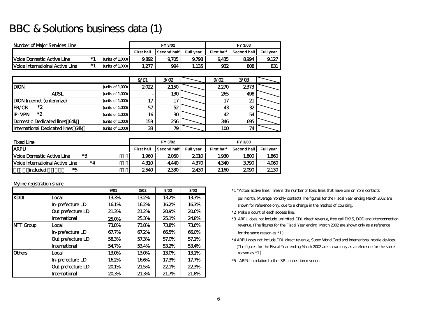### BBC & Solutions business data (1)

| Number of Maior Services Line            |     |                     | FY 3/02<br>FY 3/03 |             |                  |                   |             |                  |
|------------------------------------------|-----|---------------------|--------------------|-------------|------------------|-------------------|-------------|------------------|
|                                          |     |                     | <b>First half</b>  | Second half | <b>Full vear</b> | <b>First half</b> | Second half | <b>Full vear</b> |
| <b>IVoice Domestic Active Line</b>       | * 1 | (units of $1,000$ ) | 9.892              | 9.705       | 9.798            | 9.435             | 8994        | 9.127            |
| <b>IVoice Internatioinal Active Line</b> | * 1 | (units of 1,000)    | 1,277              | 994         | 1,135            | 932               | 808         | 831              |

|                                   |                     | 9/01 | 3/02         | 9/02 | 3/03         |  |
|-----------------------------------|---------------------|------|--------------|------|--------------|--|
| <b>DION</b>                       | (units of $1,000$ ) | 2022 | 2150         | 2270 | 2373         |  |
| <b>ADSL</b>                       | (units of $1,000$ ) |      | 130          | 265  | 498          |  |
| DION Internet (enterprize)        | (units of $1,000$ ) |      | 17           | 17   | $\mathbf{z}$ |  |
| *2<br><b>FR/CR</b>                | (units of $1,000$ ) | 57   | 52           | 43   | 32           |  |
| *2<br><b>IP-VPN</b>               | (units of $1,000$ ) | 16   | $30^{\circ}$ | 42   | 54           |  |
| Domestic Dedicated lines 64k      | (units of $1,000$ ) | 159  | 256          | 346  | 695          |  |
| International Dedicated lines 64k | (units of $1,000$   | 33   | 79           | 100  |              |  |

| <b>Fixed Line</b>                              |                   | FY 3/02     |                  |                   | FY 3/03     |                  |
|------------------------------------------------|-------------------|-------------|------------------|-------------------|-------------|------------------|
| <b>ARPU</b>                                    | <b>First half</b> | Second half | <b>Full vear</b> | <b>First half</b> | Second half | <b>Full vear</b> |
| $*2$<br><b>IVoice Domestic Active Line</b>     | 1,960             | 2060        | 2010             | 1,930             | 1,800       | 1.860            |
| *4<br><b>IVoice Internatioinal Active Line</b> | 4310              | 4,440       | 4370             | 4,340             | 3790        | 4060             |
| *5<br>included                                 | 2540              | 2330        | 2430             | 2160              | 2090        | 2130             |

#### Myline registration share

|                  |                      | 9/01  | 3/02  | 9/02  | 3/03  | *1 "Actual active |
|------------------|----------------------|-------|-------|-------|-------|-------------------|
| <b>KDDI</b>      | Local                | 133%  | 132%  | 132%  | 133%  | per month. (Av    |
|                  | In-prefecture LD     | 161%  | 162%  | 162%  | 163%  | shown for refe    |
|                  | Out prefecture LD    | 21.3% | 21.2% | 209%  | 20.6% | *2 Make a count   |
|                  | <b>International</b> | 250%  | 253%  | 25.1% | 24.8% | *3 ARPU does no   |
| <b>NTT Group</b> | Local                | 738%  | 738%  | 738%  | 736%  | revenue. (The     |
|                  | In-prefecture LD     | 67.7% | 67.2% | 665%  | 660%  | for the same n    |
|                  | Out prefecture LD    | 583%  | 57.3% | 57.0% | 57.1% | *4 ARPU does not  |
|                  | <b>International</b> | 547%  | 534%  | 532%  | 534%  | (The figures for  |
| <b>IOthers</b>   | Local                | 130%  | 130%  | 130%  | 131%  | reason as *1.)    |
|                  | In-prefecture LD     | 162%  | 166%  | 17.3% | 17.7% | *5 ARPU in relat  |
|                  | Out prefecture LD    | 201%  | 21.5% | 221%  | 223%  |                   |
|                  | International        | 203%  | 21.3% | 21.7% | 21.8% |                   |

 \*1 "Actual active lines" means the number of fixed lines that have one or more contactsper month. (Average monthly contact) The figures for the Fiscal Year ending March 2002 are

shown for reference only, due to a change in the method of counting.

- $*$  2. Make a count of each access line.
- 25.3% 25.1% 24.8% \*3 ARPU does not include, unlimited, DDL direct revenue, free call DX/S, DOD and interconnection revenue. (The figures for the Fiscal Year ending March 2002 are shown only as a reference

for the same reason as  $*1$ .)

- \*4 ARPU does not include DDL direct revenue, Super World Card and international mobile devices. (The figures for the Fiscal Year ending March 2002 are shown only as a reference for the same
- \*5 ARPU in relation to the ISP connection revenue.